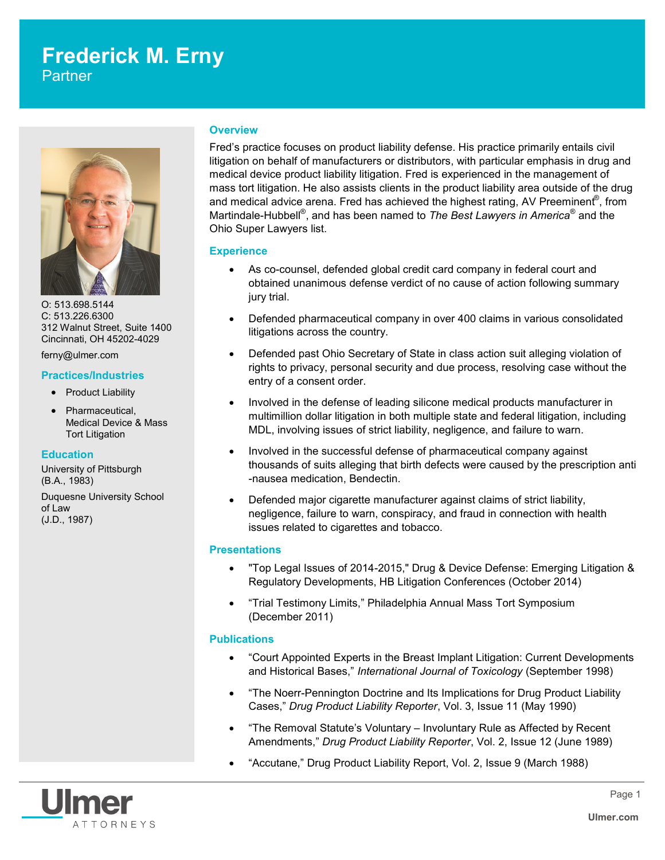# **Frederick M. Erny**

**Partner** 



O: 513.698.5144 C: 513.226.6300 312 Walnut Street, Suite 1400 Cincinnati, OH 45202-4029

ferny@ulmer.com

### **Practices/Industries**

- Product Liability
- Pharmaceutical, Medical Device & Mass Tort Litigation

# **Education**

University of Pittsburgh (B.A., 1983) Duquesne University School of Law (J.D., 1987)

### **Overview**

Fred's practice focuses on product liability defense. His practice primarily entails civil litigation on behalf of manufacturers or distributors, with particular emphasis in drug and medical device product liability litigation. Fred is experienced in the management of mass tort litigation. He also assists clients in the product liability area outside of the drug and medical advice arena. Fred has achieved the highest rating, AV Preeminent $^\text{\textregistered}$ , from Martindale-Hubbell® , and has been named to *The Best Lawyers in America*® and the Ohio Super Lawyers list.

### **Experience**

- As co-counsel, defended global credit card company in federal court and obtained unanimous defense verdict of no cause of action following summary jury trial.
- Defended pharmaceutical company in over 400 claims in various consolidated litigations across the country.
- Defended past Ohio Secretary of State in class action suit alleging violation of rights to privacy, personal security and due process, resolving case without the entry of a consent order.
- Involved in the defense of leading silicone medical products manufacturer in multimillion dollar litigation in both multiple state and federal litigation, including MDL, involving issues of strict liability, negligence, and failure to warn.
- Involved in the successful defense of pharmaceutical company against thousands of suits alleging that birth defects were caused by the prescription anti -nausea medication, Bendectin.
- Defended major cigarette manufacturer against claims of strict liability, negligence, failure to warn, conspiracy, and fraud in connection with health issues related to cigarettes and tobacco.

# **Presentations**

- "Top Legal Issues of 2014-2015," Drug & Device Defense: Emerging Litigation & Regulatory Developments, HB Litigation Conferences (October 2014)
- "Trial Testimony Limits," Philadelphia Annual Mass Tort Symposium (December 2011)

# **Publications**

- "Court Appointed Experts in the Breast Implant Litigation: Current Developments and Historical Bases," *International Journal of Toxicology* (September 1998)
- "The Noerr-Pennington Doctrine and Its Implications for Drug Product Liability Cases," *Drug Product Liability Reporter*, Vol. 3, Issue 11 (May 1990)
- "The Removal Statute's Voluntary Involuntary Rule as Affected by Recent Amendments," *Drug Product Liability Reporter*, Vol. 2, Issue 12 (June 1989)
- "Accutane," Drug Product Liability Report, Vol. 2, Issue 9 (March 1988)